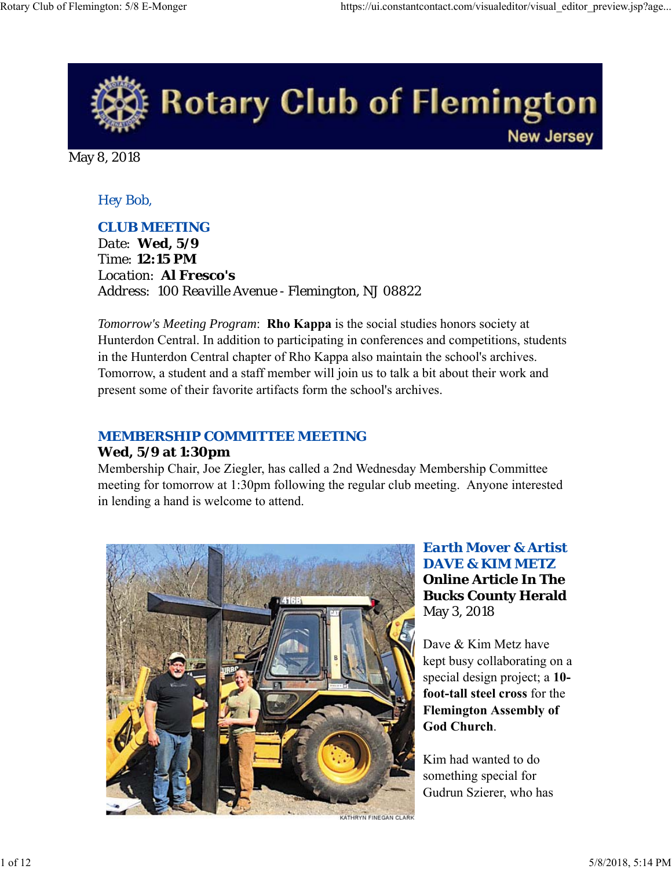

May 8, 2018

## *Hey Bob,*

#### *CLUB MEETING*

*Date: Wed, 5/9 Time: 12:15 PM Location: Al Fresco's Address: 100 Reaville Avenue - Flemington, NJ 08822*

*Tomorrow's Meeting Program*: **Rho Kappa** is the social studies honors society at Hunterdon Central. In addition to participating in conferences and competitions, students in the Hunterdon Central chapter of Rho Kappa also maintain the school's archives. Tomorrow, a student and a staff member will join us to talk a bit about their work and present some of their favorite artifacts form the school's archives.

## *MEMBERSHIP COMMITTEE MEETING*

#### **Wed, 5/9 at 1:30pm**

Membership Chair, Joe Ziegler, has called a 2nd Wednesday Membership Committee meeting for tomorrow at 1:30pm following the regular club meeting. Anyone interested in lending a hand is welcome to attend.



*Earth Mover & Artist DAVE & KIM METZ* **Online Article In The Bucks County Herald** May 3, 2018

Dave & Kim Metz have kept busy collaborating on a special design project; a **10 foot-tall steel cross** for the **Flemington Assembly of God Church**.

Kim had wanted to do something special for Gudrun Szierer, who has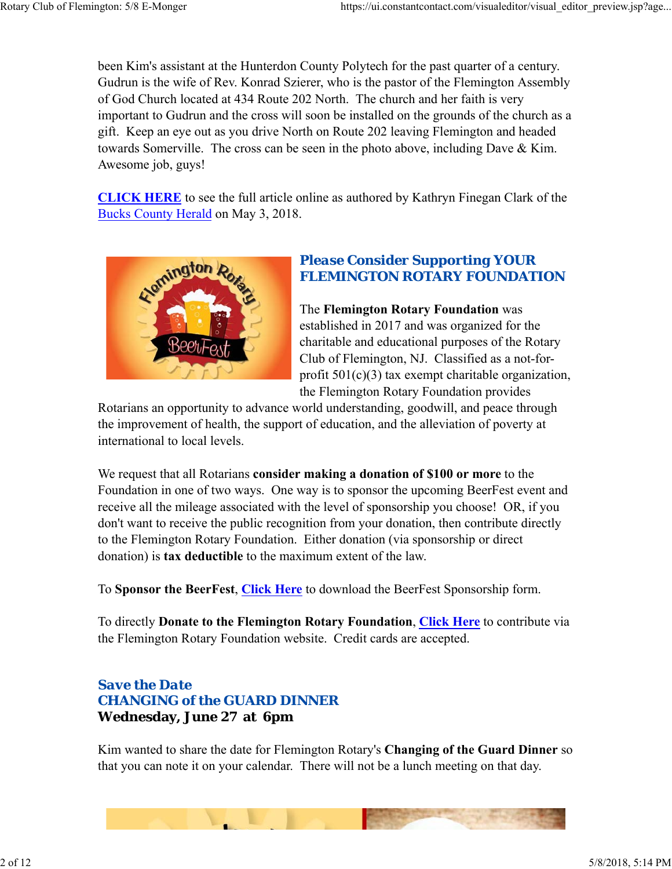been Kim's assistant at the Hunterdon County Polytech for the past quarter of a century. Gudrun is the wife of Rev. Konrad Szierer, who is the pastor of the Flemington Assembly of God Church located at 434 Route 202 North. The church and her faith is very important to Gudrun and the cross will soon be installed on the grounds of the church as a gift. Keep an eye out as you drive North on Route 202 leaving Flemington and headed towards Somerville. The cross can be seen in the photo above, including Dave & Kim. Awesome job, guys!

**CLICK HERE** to see the full article online as authored by Kathryn Finegan Clark of the Bucks County Herald on May 3, 2018.



## *Please Consider Supporting YOUR FLEMINGTON ROTARY FOUNDATION*

The **Flemington Rotary Foundation** was established in 2017 and was organized for the charitable and educational purposes of the Rotary Club of Flemington, NJ. Classified as a not-forprofit  $501(c)(3)$  tax exempt charitable organization, the Flemington Rotary Foundation provides

Rotarians an opportunity to advance world understanding, goodwill, and peace through the improvement of health, the support of education, and the alleviation of poverty at international to local levels.

We request that all Rotarians **consider making a donation of \$100 or more** to the Foundation in one of two ways. One way is to sponsor the upcoming BeerFest event and receive all the mileage associated with the level of sponsorship you choose! OR, if you don't want to receive the public recognition from your donation, then contribute directly to the Flemington Rotary Foundation. Either donation (via sponsorship or direct donation) is **tax deductible** to the maximum extent of the law.

To **Sponsor the BeerFest**, **Click Here** to download the BeerFest Sponsorship form.

To directly **Donate to the Flemington Rotary Foundation**, **Click Here** to contribute via the Flemington Rotary Foundation website. Credit cards are accepted.

## *Save the Date CHANGING of the GUARD DINNER* **Wednesday, June 27 at 6pm**

Kim wanted to share the date for Flemington Rotary's **Changing of the Guard Dinner** so that you can note it on your calendar. There will not be a lunch meeting on that day.

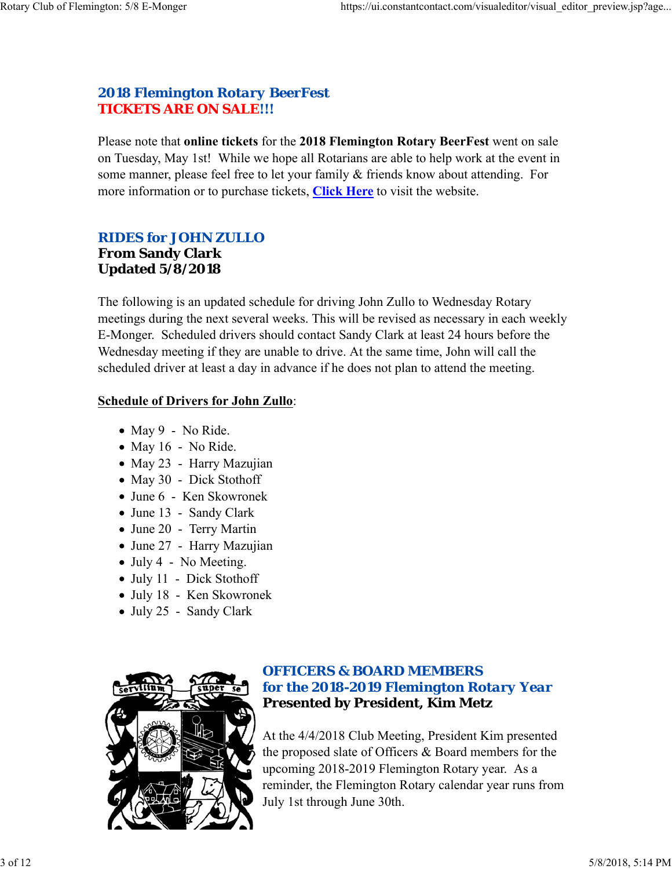## *2018 Flemington Rotary BeerFest TICKETS ARE ON SALE!!!*

Please note that **online tickets** for the **2018 Flemington Rotary BeerFest** went on sale on Tuesday, May 1st! While we hope all Rotarians are able to help work at the event in some manner, please feel free to let your family & friends know about attending. For more information or to purchase tickets, **Click Here** to visit the website.

## *RIDES for JOHN ZULLO*

## **From Sandy Clark Updated 5/8/2018**

The following is an updated schedule for driving John Zullo to Wednesday Rotary meetings during the next several weeks. This will be revised as necessary in each weekly E-Monger. Scheduled drivers should contact Sandy Clark at least 24 hours before the Wednesday meeting if they are unable to drive. At the same time, John will call the scheduled driver at least a day in advance if he does not plan to attend the meeting.

#### **Schedule of Drivers for John Zullo**:

- $\bullet$  May 9 No Ride.
- $\bullet$  May 16 No Ride.
- May 23 Harry Mazujian
- May 30 Dick Stothoff
- June 6 Ken Skowronek
- June 13 Sandy Clark
- June 20 Terry Martin
- June 27 Harry Mazujian
- July 4 No Meeting.
- July 11 Dick Stothoff
- July 18 Ken Skowronek
- July 25 Sandy Clark



## *OFFICERS & BOARD MEMBERS for the 2018-2019 Flemington Rotary Year* **Presented by President, Kim Metz**

At the 4/4/2018 Club Meeting, President Kim presented the proposed slate of Officers & Board members for the upcoming 2018-2019 Flemington Rotary year. As a reminder, the Flemington Rotary calendar year runs from July 1st through June 30th.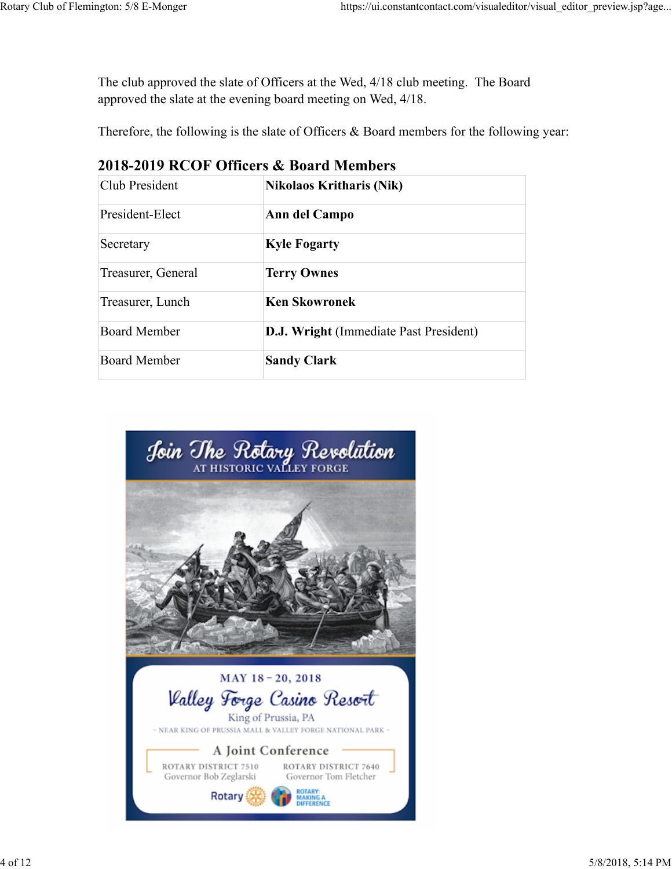The club approved the slate of Officers at the Wed, 4/18 club meeting. The Board approved the slate at the evening board meeting on Wed, 4/18.

Therefore, the following is the slate of Officers & Board members for the following year:

| Club President      | <b>Nikolaos Kritharis (Nik)</b>               |  |  |
|---------------------|-----------------------------------------------|--|--|
| President-Elect     | Ann del Campo                                 |  |  |
| Secretary           | <b>Kyle Fogarty</b>                           |  |  |
| Treasurer, General  | <b>Terry Ownes</b>                            |  |  |
| Treasurer, Lunch    | <b>Ken Skowronek</b>                          |  |  |
| Board Member        | <b>D.J. Wright</b> (Immediate Past President) |  |  |
| <b>Board Member</b> | <b>Sandy Clark</b>                            |  |  |

## **2018-2019 RCOF Officers & Board Members**

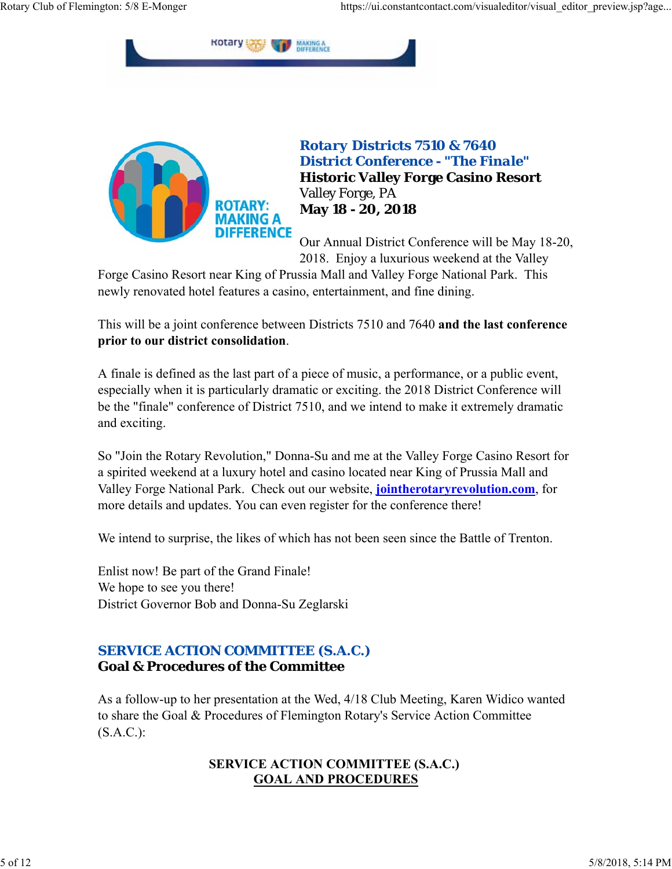



*Rotary Districts 7510 & 7640 District Conference - "The Finale"* **Historic Valley Forge Casino Resort** Valley Forge, PA **May 18 - 20, 2018**

Our Annual District Conference will be May 18-20, 2018. Enjoy a luxurious weekend at the Valley

Forge Casino Resort near King of Prussia Mall and Valley Forge National Park. This newly renovated hotel features a casino, entertainment, and fine dining.

This will be a joint conference between Districts 7510 and 7640 **and the last conference prior to our district consolidation**.

A finale is defined as the last part of a piece of music, a performance, or a public event, especially when it is particularly dramatic or exciting. the 2018 District Conference will be the "finale" conference of District 7510, and we intend to make it extremely dramatic and exciting.

So "Join the Rotary Revolution," Donna-Su and me at the Valley Forge Casino Resort for a spirited weekend at a luxury hotel and casino located near King of Prussia Mall and Valley Forge National Park. Check out our website, **jointherotaryrevolution.com**, for more details and updates. You can even register for the conference there!

We intend to surprise, the likes of which has not been seen since the Battle of Trenton.

Enlist now! Be part of the Grand Finale! We hope to see you there! District Governor Bob and Donna-Su Zeglarski

## *SERVICE ACTION COMMITTEE (S.A.C.)* **Goal & Procedures of the Committee**

As a follow-up to her presentation at the Wed, 4/18 Club Meeting, Karen Widico wanted to share the Goal & Procedures of Flemington Rotary's Service Action Committee (S.A.C.):

## **SERVICE ACTION COMMITTEE (S.A.C.) GOAL AND PROCEDURES**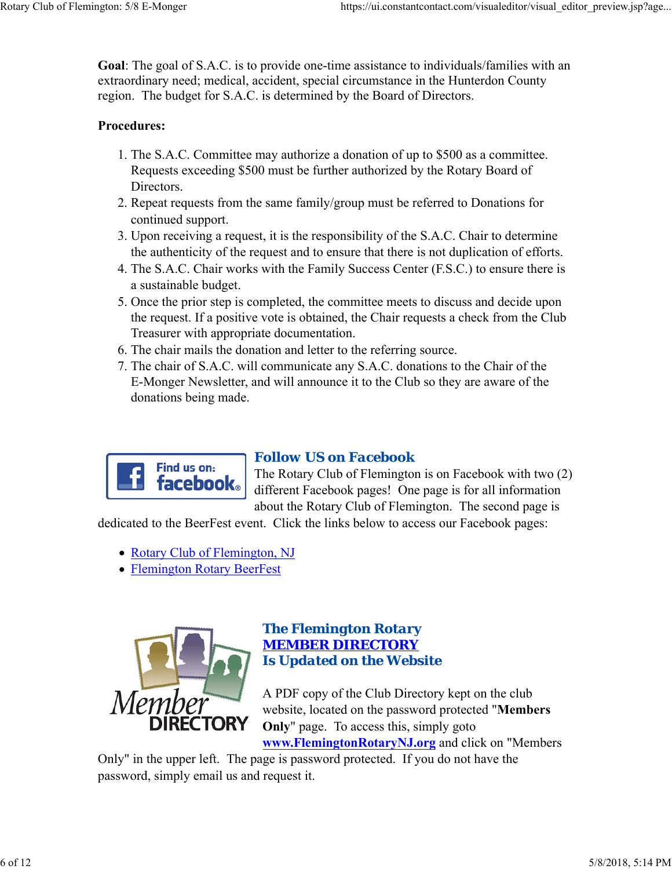**Goal**: The goal of S.A.C. is to provide one-time assistance to individuals/families with an extraordinary need; medical, accident, special circumstance in the Hunterdon County region. The budget for S.A.C. is determined by the Board of Directors.

#### **Procedures:**

- 1. The S.A.C. Committee may authorize a donation of up to \$500 as a committee. Requests exceeding \$500 must be further authorized by the Rotary Board of Directors.
- 2. Repeat requests from the same family/group must be referred to Donations for continued support.
- 3. Upon receiving a request, it is the responsibility of the S.A.C. Chair to determine the authenticity of the request and to ensure that there is not duplication of efforts.
- 4. The S.A.C. Chair works with the Family Success Center (F.S.C.) to ensure there is a sustainable budget.
- 5. Once the prior step is completed, the committee meets to discuss and decide upon the request. If a positive vote is obtained, the Chair requests a check from the Club Treasurer with appropriate documentation.
- 6. The chair mails the donation and letter to the referring source.
- 7. The chair of S.A.C. will communicate any S.A.C. donations to the Chair of the E-Monger Newsletter, and will announce it to the Club so they are aware of the donations being made.



#### *Follow US on Facebook*

The Rotary Club of Flemington is on Facebook with two (2) different Facebook pages! One page is for all information about the Rotary Club of Flemington. The second page is

dedicated to the BeerFest event. Click the links below to access our Facebook pages:

- Rotary Club of Flemington, NJ
- Flemington Rotary BeerFest



#### *The Flemington Rotary MEMBER DIRECTORY Is Updated on the Website*

A PDF copy of the Club Directory kept on the club website, located on the password protected "**Members Only**" page. To access this, simply goto **www.FlemingtonRotaryNJ.org** and click on "Members

Only" in the upper left. The page is password protected. If you do not have the password, simply email us and request it.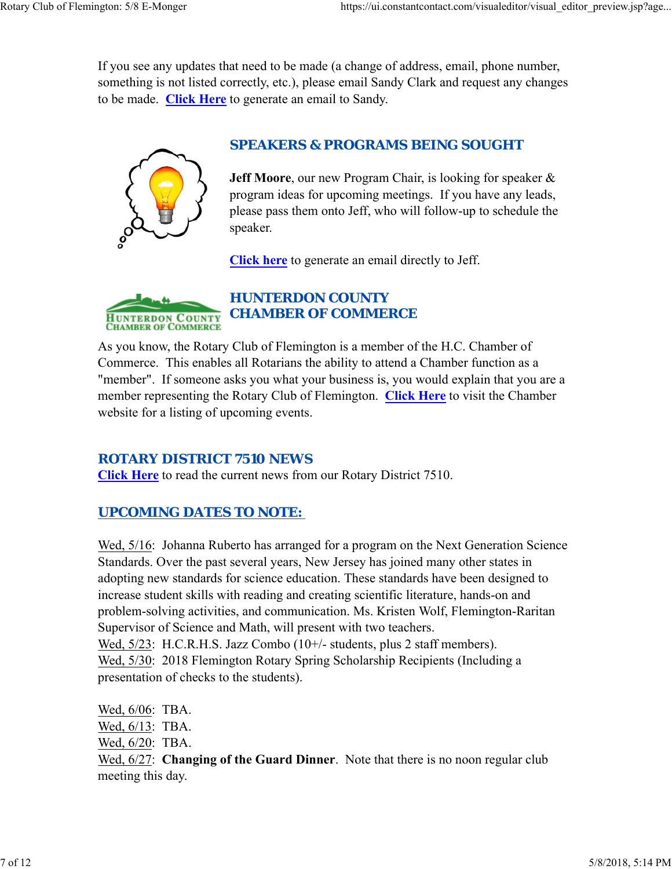If you see any updates that need to be made (a change of address, email, phone number, something is not listed correctly, etc.), please email Sandy Clark and request any changes to be made. **Click Here** to generate an email to Sandy.



## *SPEAKERS & PROGRAMS BEING SOUGHT*

**Jeff Moore**, our new Program Chair, is looking for speaker & program ideas for upcoming meetings. If you have any leads, please pass them onto Jeff, who will follow-up to schedule the speaker.

**Click here** to generate an email directly to Jeff.



## *HUNTERDON COUNTY CHAMBER OF COMMERCE*

As you know, the Rotary Club of Flemington is a member of the H.C. Chamber of Commerce. This enables all Rotarians the ability to attend a Chamber function as a "member". If someone asks you what your business is, you would explain that you are a member representing the Rotary Club of Flemington. **Click Here** to visit the Chamber website for a listing of upcoming events.

## *ROTARY DISTRICT 7510 NEWS*

**Click Here** to read the current news from our Rotary District 7510.

## *UPCOMING DATES TO NOTE:*

Wed, 5/16: Johanna Ruberto has arranged for a program on the Next Generation Science Standards. Over the past several years, New Jersey has joined many other states in adopting new standards for science education. These standards have been designed to increase student skills with reading and creating scientific literature, hands-on and problem-solving activities, and communication. Ms. Kristen Wolf, Flemington-Raritan Supervisor of Science and Math, will present with two teachers. Wed, 5/23: H.C.R.H.S. Jazz Combo (10+/- students, plus 2 staff members). Wed, 5/30: 2018 Flemington Rotary Spring Scholarship Recipients (Including a presentation of checks to the students).

Wed, 6/06: TBA. Wed, 6/13: TBA. Wed, 6/20: TBA. Wed, 6/27: **Changing of the Guard Dinner**. Note that there is no noon regular club meeting this day.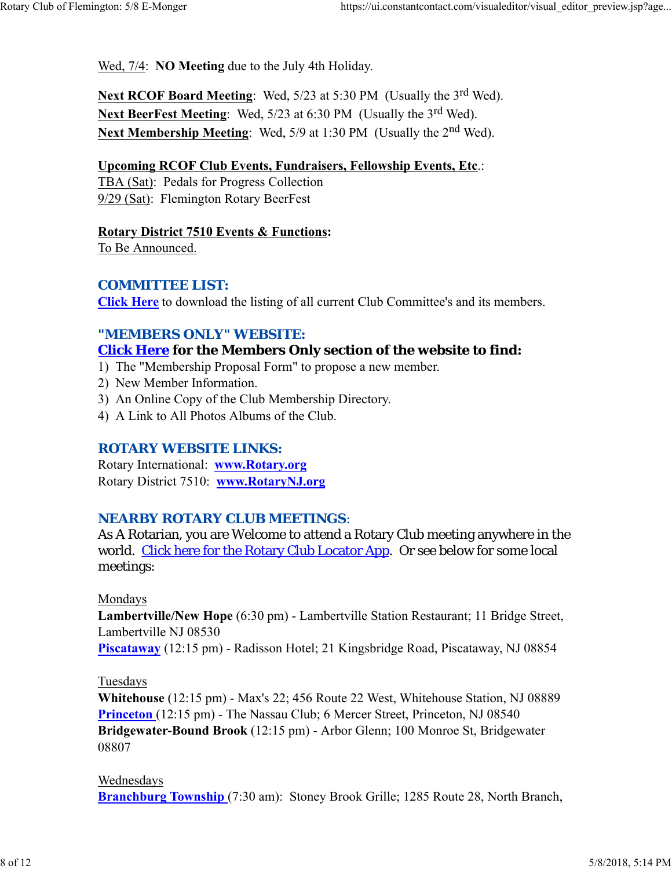Wed, 7/4: **NO Meeting** due to the July 4th Holiday.

**Next RCOF Board Meeting:** Wed, 5/23 at 5:30 PM (Usually the 3<sup>rd</sup> Wed). Next BeerFest Meeting: Wed, 5/23 at 6:30 PM (Usually the 3<sup>rd</sup> Wed). Next Membership Meeting: Wed, 5/9 at 1:30 PM (Usually the 2<sup>nd</sup> Wed).

#### **Upcoming RCOF Club Events, Fundraisers, Fellowship Events, Etc**.:

TBA (Sat): Pedals for Progress Collection 9/29 (Sat): Flemington Rotary BeerFest

**Rotary District 7510 Events & Functions:**

To Be Announced.

#### *COMMITTEE LIST:*

**Click Here** to download the listing of all current Club Committee's and its members.

## *"MEMBERS ONLY" WEBSITE:*

## **Click Here for the Members Only section of the website to find:**

- 1) The "Membership Proposal Form" to propose a new member.
- 2) New Member Information.
- 3) An Online Copy of the Club Membership Directory.
- 4) A Link to All Photos Albums of the Club.

#### *ROTARY WEBSITE LINKS:*

Rotary International: **www.Rotary.org** Rotary District 7510: **www.RotaryNJ.org**

#### *NEARBY ROTARY CLUB MEETINGS:*

As A Rotarian, you are Welcome to attend a Rotary Club meeting anywhere in the world. Click here for the Rotary Club Locator App. Or see below for some local meetings:

#### Mondays

**Lambertville/New Hope** (6:30 pm) - Lambertville Station Restaurant; 11 Bridge Street, Lambertville NJ 08530

**Piscataway** (12:15 pm) - Radisson Hotel; 21 Kingsbridge Road, Piscataway, NJ 08854

#### Tuesdays

**Whitehouse** (12:15 pm) - Max's 22; 456 Route 22 West, Whitehouse Station, NJ 08889 **Princeton** (12:15 pm) - The Nassau Club; 6 Mercer Street, Princeton, NJ 08540 **Bridgewater-Bound Brook** (12:15 pm) - Arbor Glenn; 100 Monroe St, Bridgewater 08807

#### Wednesdays

**Branchburg Township** (7:30 am): Stoney Brook Grille; 1285 Route 28, North Branch,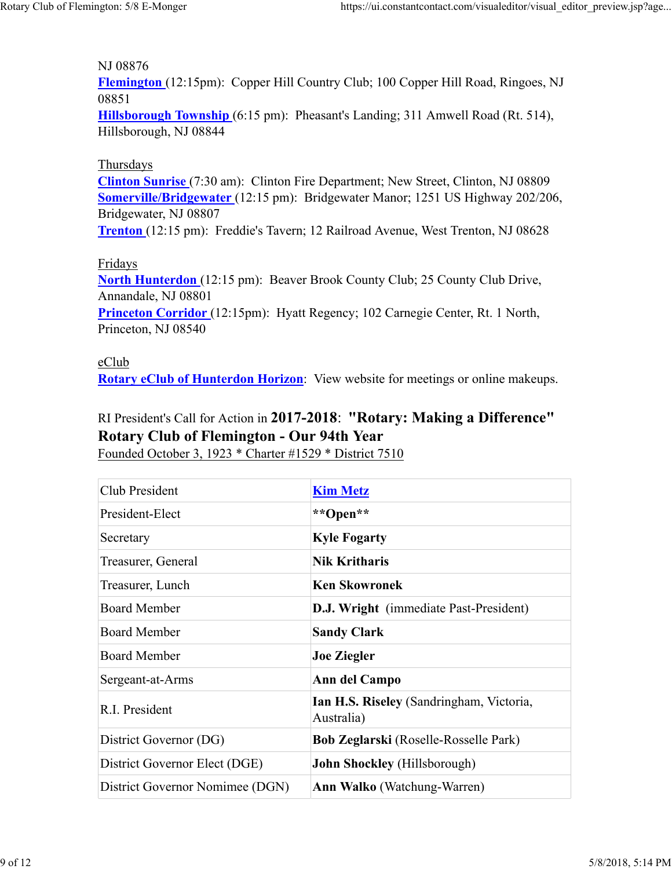#### NJ 08876

**Flemington** (12:15pm): Copper Hill Country Club; 100 Copper Hill Road, Ringoes, NJ 08851

**Hillsborough Township** (6:15 pm): Pheasant's Landing; 311 Amwell Road (Rt. 514), Hillsborough, NJ 08844

#### Thursdays

**Clinton Sunrise** (7:30 am): Clinton Fire Department; New Street, Clinton, NJ 08809 **Somerville/Bridgewater** (12:15 pm): Bridgewater Manor; 1251 US Highway 202/206, Bridgewater, NJ 08807

**Trenton** (12:15 pm): Freddie's Tavern; 12 Railroad Avenue, West Trenton, NJ 08628

#### Fridays

**North Hunterdon** (12:15 pm): Beaver Brook County Club; 25 County Club Drive, Annandale, NJ 08801

**Princeton Corridor** (12:15pm): Hyatt Regency; 102 Carnegie Center, Rt. 1 North, Princeton, NJ 08540

#### eClub

**Rotary eClub of Hunterdon Horizon**: View website for meetings or online makeups.

## RI President's Call for Action in **2017-2018**: **"Rotary: Making a Difference" Rotary Club of Flemington - Our 94th Year**

Founded October 3, 1923 \* Charter #1529 \* District 7510

| Club President                  | <b>Kim Metz</b>                                        |  |  |
|---------------------------------|--------------------------------------------------------|--|--|
| President-Elect                 | **Open**                                               |  |  |
| Secretary                       | <b>Kyle Fogarty</b>                                    |  |  |
| Treasurer, General              | <b>Nik Kritharis</b>                                   |  |  |
| Treasurer, Lunch                | <b>Ken Skowronek</b>                                   |  |  |
| <b>Board Member</b>             | <b>D.J. Wright</b> (immediate Past-President)          |  |  |
| <b>Board Member</b>             | <b>Sandy Clark</b>                                     |  |  |
| <b>Board Member</b>             | <b>Joe Ziegler</b>                                     |  |  |
| Sergeant-at-Arms                | Ann del Campo                                          |  |  |
| R.I. President                  | Ian H.S. Riseley (Sandringham, Victoria,<br>Australia) |  |  |
| District Governor (DG)          | <b>Bob Zeglarski</b> (Roselle-Rosselle Park)           |  |  |
| District Governor Elect (DGE)   | <b>John Shockley</b> (Hillsborough)                    |  |  |
| District Governor Nomimee (DGN) | <b>Ann Walko</b> (Watchung-Warren)                     |  |  |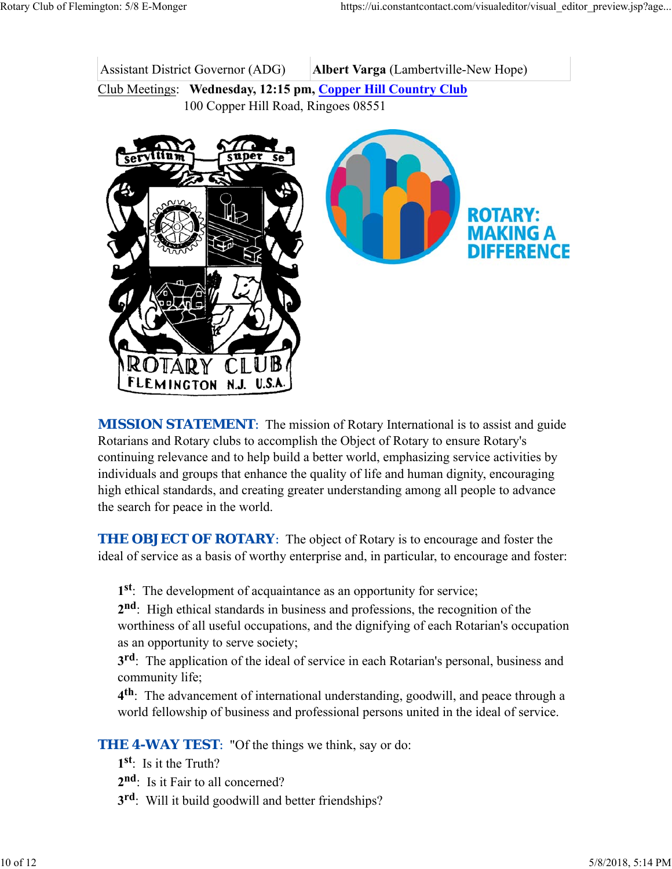Assistant District Governor (ADG) **Albert Varga** (Lambertville-New Hope) Club Meetings: **Wednesday, 12:15 pm, Copper Hill Country Club**

100 Copper Hill Road, Ringoes 08551



**MISSION STATEMENT:** The mission of Rotary International is to assist and guide Rotarians and Rotary clubs to accomplish the Object of Rotary to ensure Rotary's continuing relevance and to help build a better world, emphasizing service activities by individuals and groups that enhance the quality of life and human dignity, encouraging high ethical standards, and creating greater understanding among all people to advance the search for peace in the world.

**THE OBJECT OF ROTARY:** The object of Rotary is to encourage and foster the ideal of service as a basis of worthy enterprise and, in particular, to encourage and foster:

**1st**: The development of acquaintance as an opportunity for service;

**2nd**: High ethical standards in business and professions, the recognition of the worthiness of all useful occupations, and the dignifying of each Rotarian's occupation as an opportunity to serve society;

**3rd**: The application of the ideal of service in each Rotarian's personal, business and community life;

**4th**: The advancement of international understanding, goodwill, and peace through a world fellowship of business and professional persons united in the ideal of service.

**THE 4-WAY TEST:** "Of the things we think, say or do:

- **1st**: Is it the Truth?
- 2<sup>nd</sup>: Is it Fair to all concerned?
- **3rd**: Will it build goodwill and better friendships?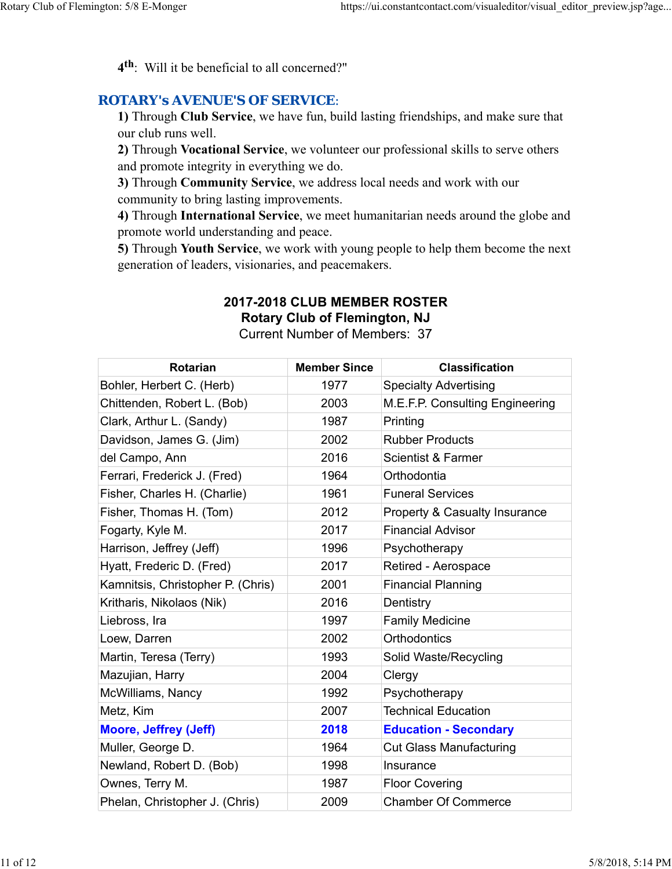**4th**: Will it be beneficial to all concerned?"

#### *ROTARY's AVENUE'S OF SERVICE*:

**1)** Through **Club Service**, we have fun, build lasting friendships, and make sure that our club runs well.

**2)** Through **Vocational Service**, we volunteer our professional skills to serve others and promote integrity in everything we do.

**3)** Through **Community Service**, we address local needs and work with our community to bring lasting improvements.

**4)** Through **International Service**, we meet humanitarian needs around the globe and promote world understanding and peace.

**5)** Through **Youth Service**, we work with young people to help them become the next generation of leaders, visionaries, and peacemakers.

# **2017-2018 CLUB MEMBER ROSTER**

**Rotary Club of Flemington, NJ**

Current Number of Members: 37

| <b>Rotarian</b>                   | <b>Member Since</b> | <b>Classification</b>                    |
|-----------------------------------|---------------------|------------------------------------------|
| Bohler, Herbert C. (Herb)         | 1977                | <b>Specialty Advertising</b>             |
| Chittenden, Robert L. (Bob)       | 2003                | M.E.F.P. Consulting Engineering          |
| Clark, Arthur L. (Sandy)          | 1987                | Printing                                 |
| Davidson, James G. (Jim)          | 2002                | <b>Rubber Products</b>                   |
| del Campo, Ann                    | 2016                | <b>Scientist &amp; Farmer</b>            |
| Ferrari, Frederick J. (Fred)      | 1964                | Orthodontia                              |
| Fisher, Charles H. (Charlie)      | 1961                | <b>Funeral Services</b>                  |
| Fisher, Thomas H. (Tom)           | 2012                | <b>Property &amp; Casualty Insurance</b> |
| Fogarty, Kyle M.                  | 2017                | <b>Financial Advisor</b>                 |
| Harrison, Jeffrey (Jeff)          | 1996                | Psychotherapy                            |
| Hyatt, Frederic D. (Fred)         | 2017                | Retired - Aerospace                      |
| Kamnitsis, Christopher P. (Chris) | 2001                | <b>Financial Planning</b>                |
| Kritharis, Nikolaos (Nik)         | 2016                | Dentistry                                |
| Liebross, Ira                     | 1997                | <b>Family Medicine</b>                   |
| Loew, Darren                      | 2002                | <b>Orthodontics</b>                      |
| Martin, Teresa (Terry)            | 1993                | Solid Waste/Recycling                    |
| Mazujian, Harry                   | 2004                | Clergy                                   |
| McWilliams, Nancy                 | 1992                | Psychotherapy                            |
| Metz, Kim                         | 2007                | <b>Technical Education</b>               |
| <b>Moore, Jeffrey (Jeff)</b>      | 2018                | <b>Education - Secondary</b>             |
| Muller, George D.                 | 1964                | <b>Cut Glass Manufacturing</b>           |
| Newland, Robert D. (Bob)          | 1998                | Insurance                                |
| Ownes, Terry M.                   | 1987                | <b>Floor Covering</b>                    |
| Phelan, Christopher J. (Chris)    | 2009                | <b>Chamber Of Commerce</b>               |